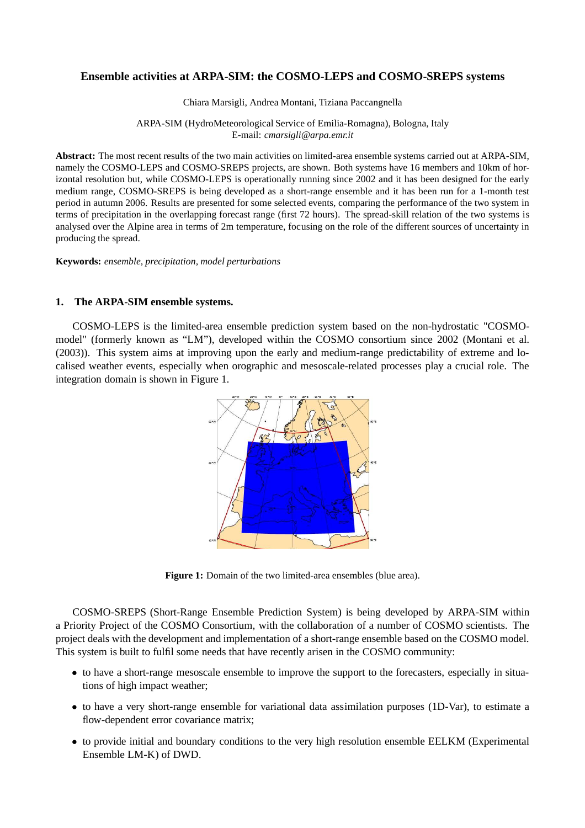# **Ensemble activities at ARPA-SIM: the COSMO-LEPS and COSMO-SREPS systems**

Chiara Marsigli, Andrea Montani, Tiziana Paccangnella

### ARPA-SIM (HydroMeteorological Service of Emilia-Romagna), Bologna, Italy E-mail: *cmarsigli@arpa.emr.it*

**Abstract:** The most recent results of the two main activities on limited-area ensemble systems carried out at ARPA-SIM, namely the COSMO-LEPS and COSMO-SREPS projects, are shown. Both systems have 16 members and 10km of horizontal resolution but, while COSMO-LEPS is operationally running since 2002 and it has been designed for the early medium range, COSMO-SREPS is being developed as a short-range ensemble and it has been run for a 1-month test period in autumn 2006. Results are presented for some selected events, comparing the performance of the two system in terms of precipitation in the overlapping forecast range (first 72 hours). The spread-skill relation of the two systems is analysed over the Alpine area in terms of 2m temperature, focusing on the role of the different sources of uncertainty in producing the spread.

**Keywords:** *ensemble, precipitation, model perturbations*

# **1. The ARPA-SIM ensemble systems.**

COSMO-LEPS is the limited-area ensemble prediction system based on the non-hydrostatic "COSMOmodel" (formerly known as "LM"), developed within the COSMO consortium since 2002 (Montani et al. (2003)). This system aims at improving upon the early and medium-range predictability of extreme and localised weather events, especially when orographic and mesoscale-related processes play a crucial role. The integration domain is shown in Figure 1.



**Figure 1:** Domain of the two limited-area ensembles (blue area).

COSMO-SREPS (Short-Range Ensemble Prediction System) is being developed by ARPA-SIM within a Priority Project of the COSMO Consortium, with the collaboration of a number of COSMO scientists. The project deals with the development and implementation of a short-range ensemble based on the COSMO model. This system is built to fulfil some needs that have recently arisen in the COSMO community:

- to have a short-range mesoscale ensemble to improve the support to the forecasters, especially in situations of high impact weather;
- to have a very short-range ensemble for variational data assimilation purposes (1D-Var), to estimate a flow-dependent error covariance matrix;
- to provide initial and boundary conditions to the very high resolution ensemble EELKM (Experimental Ensemble LM-K) of DWD.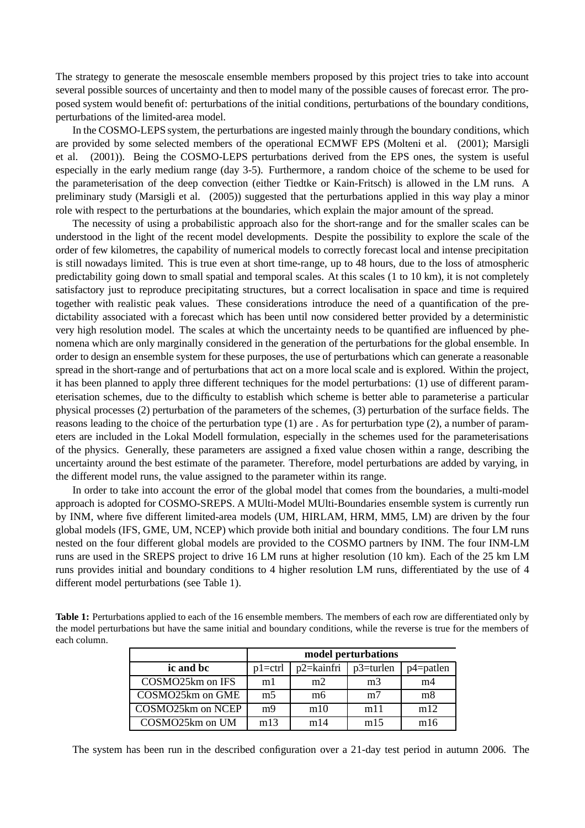The strategy to generate the mesoscale ensemble members proposed by this project tries to take into account several possible sources of uncertainty and then to model many of the possible causes of forecast error. The proposed system would benefit of: perturbations of the initial conditions, perturbations of the boundary conditions, perturbations of the limited-area model.

In the COSMO-LEPS system, the perturbations are ingested mainly through the boundary conditions, which are provided by some selected members of the operational ECMWF EPS (Molteni et al. (2001); Marsigli et al. (2001)). Being the COSMO-LEPS perturbations derived from the EPS ones, the system is useful especially in the early medium range (day 3-5). Furthermore, a random choice of the scheme to be used for the parameterisation of the deep convection (either Tiedtke or Kain-Fritsch) is allowed in the LM runs. A preliminary study (Marsigli et al. (2005)) suggested that the perturbations applied in this way play a minor role with respect to the perturbations at the boundaries, which explain the major amount of the spread.

The necessity of using a probabilistic approach also for the short-range and for the smaller scales can be understood in the light of the recent model developments. Despite the possibility to explore the scale of the order of few kilometres, the capability of numerical models to correctly forecast local and intense precipitation is still nowadays limited. This is true even at short time-range, up to 48 hours, due to the loss of atmospheric predictability going down to small spatial and temporal scales. At this scales (1 to 10 km), it is not completely satisfactory just to reproduce precipitating structures, but a correct localisation in space and time is required together with realistic peak values. These considerations introduce the need of a quantification of the predictability associated with a forecast which has been until now considered better provided by a deterministic very high resolution model. The scales at which the uncertainty needs to be quantified are influenced by phenomena which are only marginally considered in the generation of the perturbations for the global ensemble. In order to design an ensemble system for these purposes, the use of perturbations which can generate a reasonable spread in the short-range and of perturbations that act on a more local scale and is explored. Within the project, it has been planned to apply three different techniques for the model perturbations: (1) use of different parameterisation schemes, due to the difficulty to establish which scheme is better able to parameterise a particular physical processes (2) perturbation of the parameters of the schemes, (3) perturbation of the surface fields. The reasons leading to the choice of the perturbation type (1) are . As for perturbation type (2), a number of parameters are included in the Lokal Modell formulation, especially in the schemes used for the parameterisations of the physics. Generally, these parameters are assigned a fixed value chosen within a range, describing the uncertainty around the best estimate of the parameter. Therefore, model perturbations are added by varying, in the different model runs, the value assigned to the parameter within its range.

In order to take into account the error of the global model that comes from the boundaries, a multi-model approach is adopted for COSMO-SREPS. A MUlti-Model MUlti-Boundaries ensemble system is currently run by INM, where five different limited-area models (UM, HIRLAM, HRM, MM5, LM) are driven by the four global models (IFS, GME, UM, NCEP) which provide both initial and boundary conditions. The four LM runs nested on the four different global models are provided to the COSMO partners by INM. The four INM-LM runs are used in the SREPS project to drive 16 LM runs at higher resolution (10 km). Each of the 25 km LM runs provides initial and boundary conditions to 4 higher resolution LM runs, differentiated by the use of 4 different model perturbations (see Table 1).

**Table 1:** Perturbations applied to each of the 16 ensemble members. The members of each row are differentiated only by the model perturbations but have the same initial and boundary conditions, while the reverse is true for the members of each column.

|                   | model perturbations |            |                |              |
|-------------------|---------------------|------------|----------------|--------------|
| ic and bc         | $p1 = c$ trl        | p2=kainfri | $p3$ =turlen   | $p4$ =patlen |
| COSMO25km on IFS  | m1                  | m2         | m <sub>3</sub> | m4           |
| COSMO25km on GME  | m <sub>5</sub>      | mб         | m <sub>7</sub> | m8           |
| COSMO25km on NCEP | m9                  | m10        | m11            | m12          |
| COSMO25km on UM   | m13                 | m14        | m15            | m16          |

The system has been run in the described configuration over a 21-day test period in autumn 2006. The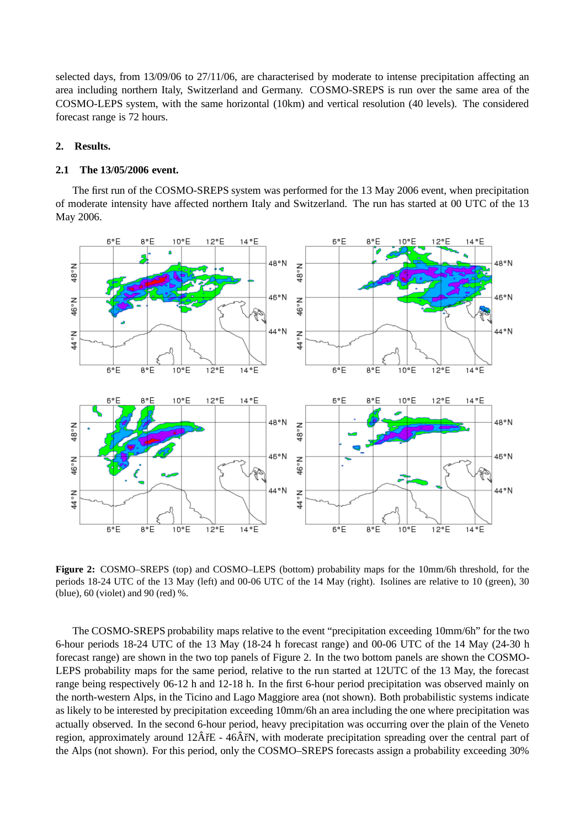selected days, from 13/09/06 to 27/11/06, are characterised by moderate to intense precipitation affecting an area including northern Italy, Switzerland and Germany. COSMO-SREPS is run over the same area of the COSMO-LEPS system, with the same horizontal (10km) and vertical resolution (40 levels). The considered forecast range is 72 hours.

## **2. Results.**

#### **2.1 The 13/05/2006 event.**

The first run of the COSMO-SREPS system was performed for the 13 May 2006 event, when precipitation of moderate intensity have affected northern Italy and Switzerland. The run has started at 00 UTC of the 13 May 2006.



**Figure 2:** COSMO–SREPS (top) and COSMO–LEPS (bottom) probability maps for the 10mm/6h threshold, for the periods 18-24 UTC of the 13 May (left) and 00-06 UTC of the 14 May (right). Isolines are relative to 10 (green), 30 (blue), 60 (violet) and 90 (red) %.

The COSMO-SREPS probability maps relative to the event "precipitation exceeding 10mm/6h" for the two 6-hour periods 18-24 UTC of the 13 May (18-24 h forecast range) and 00-06 UTC of the 14 May (24-30 h forecast range) are shown in the two top panels of Figure 2. In the two bottom panels are shown the COSMO-LEPS probability maps for the same period, relative to the run started at 12UTC of the 13 May, the forecast range being respectively 06-12 h and 12-18 h. In the first 6-hour period precipitation was observed mainly on the north-western Alps, in the Ticino and Lago Maggiore area (not shown). Both probabilistic systems indicate as likely to be interested by precipitation exceeding 10mm/6h an area including the one where precipitation was actually observed. In the second 6-hour period, heavy precipitation was occurring over the plain of the Veneto region, approximately around  $12\hat{A}$ rE - 46 $\hat{A}$ rN, with moderate precipitation spreading over the central part of the Alps (not shown). For this period, only the COSMO–SREPS forecasts assign a probability exceeding 30%